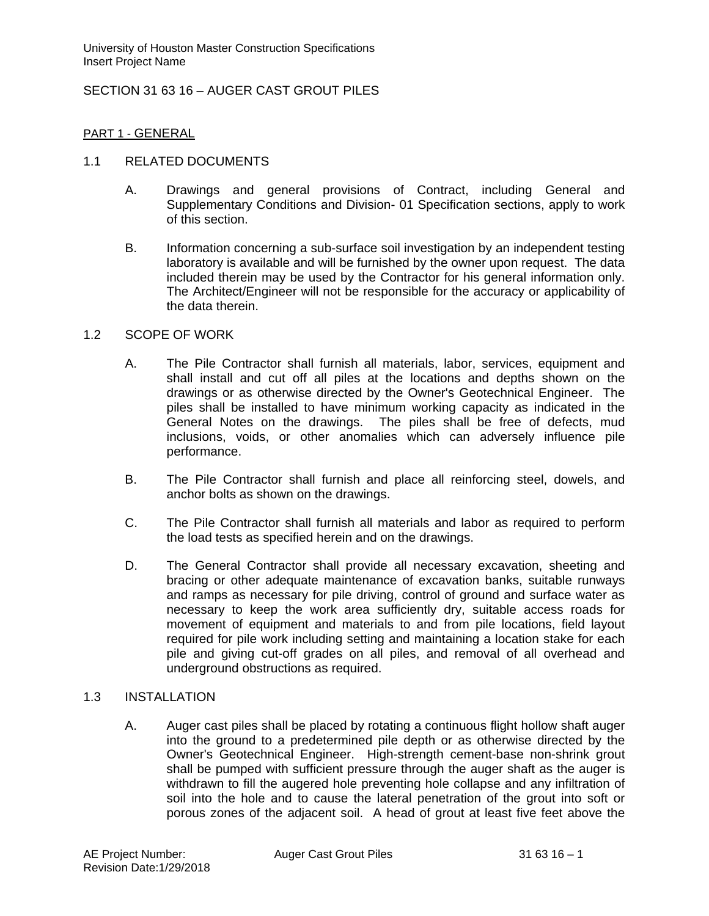SECTION 31 63 16 – AUGER CAST GROUT PILES

### PART 1 - GENERAL

### 1.1 RELATED DOCUMENTS

- A. Drawings and general provisions of Contract, including General and Supplementary Conditions and Division- 01 Specification sections, apply to work of this section.
- B. Information concerning a sub-surface soil investigation by an independent testing laboratory is available and will be furnished by the owner upon request. The data included therein may be used by the Contractor for his general information only. The Architect/Engineer will not be responsible for the accuracy or applicability of the data therein.

### 1.2 SCOPE OF WORK

- A. The Pile Contractor shall furnish all materials, labor, services, equipment and shall install and cut off all piles at the locations and depths shown on the drawings or as otherwise directed by the Owner's Geotechnical Engineer. The piles shall be installed to have minimum working capacity as indicated in the General Notes on the drawings. The piles shall be free of defects, mud inclusions, voids, or other anomalies which can adversely influence pile performance.
- B. The Pile Contractor shall furnish and place all reinforcing steel, dowels, and anchor bolts as shown on the drawings.
- C. The Pile Contractor shall furnish all materials and labor as required to perform the load tests as specified herein and on the drawings.
- D. The General Contractor shall provide all necessary excavation, sheeting and bracing or other adequate maintenance of excavation banks, suitable runways and ramps as necessary for pile driving, control of ground and surface water as necessary to keep the work area sufficiently dry, suitable access roads for movement of equipment and materials to and from pile locations, field layout required for pile work including setting and maintaining a location stake for each pile and giving cut-off grades on all piles, and removal of all overhead and underground obstructions as required.

## 1.3 INSTALLATION

A. Auger cast piles shall be placed by rotating a continuous flight hollow shaft auger into the ground to a predetermined pile depth or as otherwise directed by the Owner's Geotechnical Engineer. High-strength cement-base non-shrink grout shall be pumped with sufficient pressure through the auger shaft as the auger is withdrawn to fill the augered hole preventing hole collapse and any infiltration of soil into the hole and to cause the lateral penetration of the grout into soft or porous zones of the adjacent soil. A head of grout at least five feet above the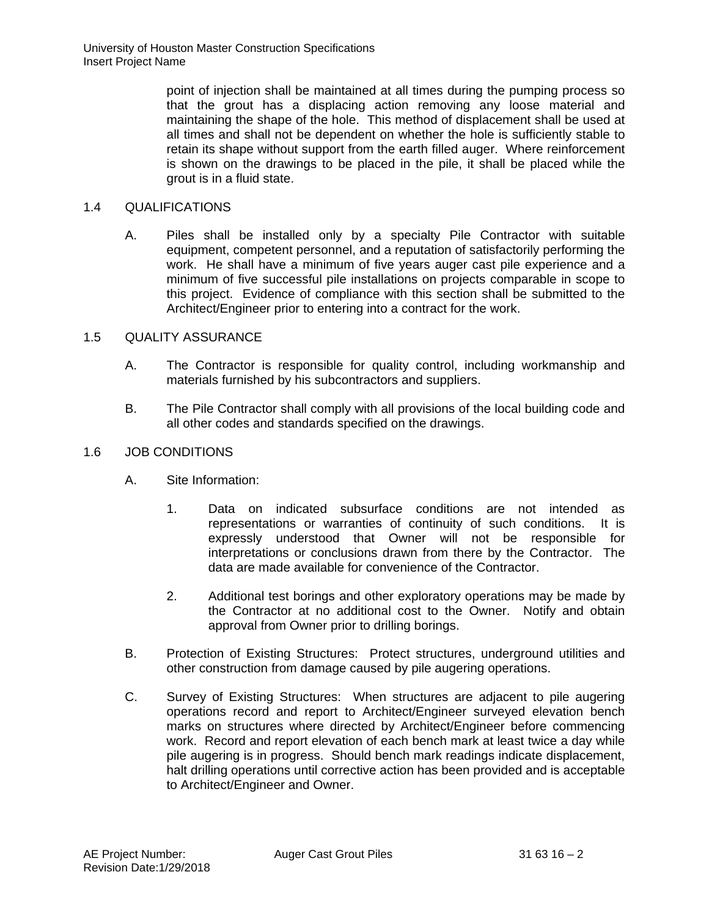point of injection shall be maintained at all times during the pumping process so that the grout has a displacing action removing any loose material and maintaining the shape of the hole. This method of displacement shall be used at all times and shall not be dependent on whether the hole is sufficiently stable to retain its shape without support from the earth filled auger. Where reinforcement is shown on the drawings to be placed in the pile, it shall be placed while the grout is in a fluid state.

## 1.4 QUALIFICATIONS

A. Piles shall be installed only by a specialty Pile Contractor with suitable equipment, competent personnel, and a reputation of satisfactorily performing the work. He shall have a minimum of five years auger cast pile experience and a minimum of five successful pile installations on projects comparable in scope to this project. Evidence of compliance with this section shall be submitted to the Architect/Engineer prior to entering into a contract for the work.

# 1.5 QUALITY ASSURANCE

- A. The Contractor is responsible for quality control, including workmanship and materials furnished by his subcontractors and suppliers.
- B. The Pile Contractor shall comply with all provisions of the local building code and all other codes and standards specified on the drawings.

# 1.6 JOB CONDITIONS

- A. Site Information:
	- 1. Data on indicated subsurface conditions are not intended as representations or warranties of continuity of such conditions. It is expressly understood that Owner will not be responsible for interpretations or conclusions drawn from there by the Contractor. The data are made available for convenience of the Contractor.
	- 2. Additional test borings and other exploratory operations may be made by the Contractor at no additional cost to the Owner. Notify and obtain approval from Owner prior to drilling borings.
- B. Protection of Existing Structures: Protect structures, underground utilities and other construction from damage caused by pile augering operations.
- C. Survey of Existing Structures: When structures are adjacent to pile augering operations record and report to Architect/Engineer surveyed elevation bench marks on structures where directed by Architect/Engineer before commencing work. Record and report elevation of each bench mark at least twice a day while pile augering is in progress. Should bench mark readings indicate displacement, halt drilling operations until corrective action has been provided and is acceptable to Architect/Engineer and Owner.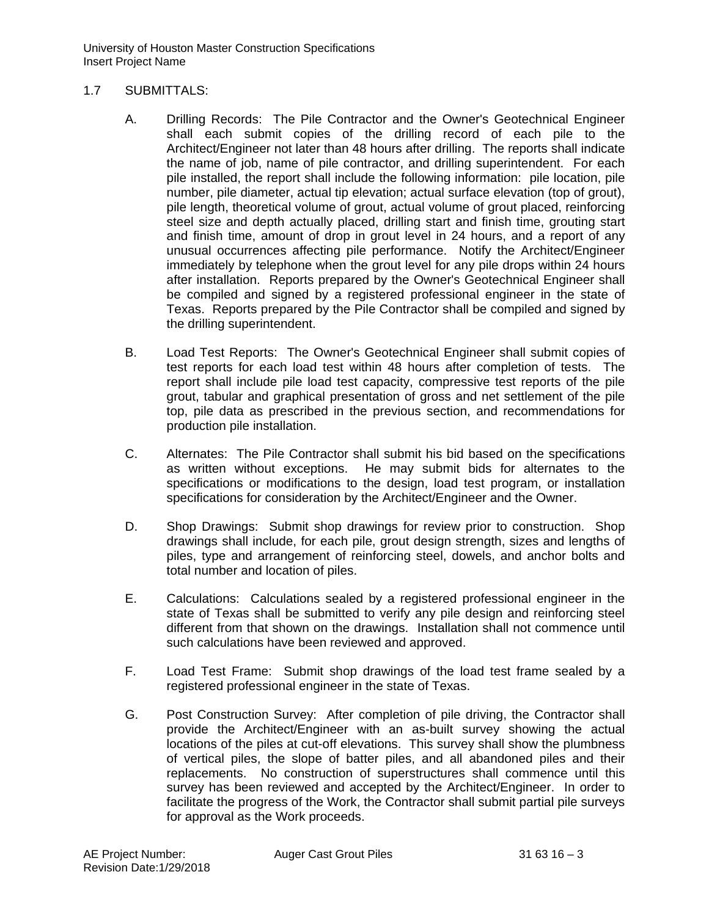### 1.7 SUBMITTALS:

- A. Drilling Records: The Pile Contractor and the Owner's Geotechnical Engineer shall each submit copies of the drilling record of each pile to the Architect/Engineer not later than 48 hours after drilling. The reports shall indicate the name of job, name of pile contractor, and drilling superintendent. For each pile installed, the report shall include the following information: pile location, pile number, pile diameter, actual tip elevation; actual surface elevation (top of grout), pile length, theoretical volume of grout, actual volume of grout placed, reinforcing steel size and depth actually placed, drilling start and finish time, grouting start and finish time, amount of drop in grout level in 24 hours, and a report of any unusual occurrences affecting pile performance. Notify the Architect/Engineer immediately by telephone when the grout level for any pile drops within 24 hours after installation. Reports prepared by the Owner's Geotechnical Engineer shall be compiled and signed by a registered professional engineer in the state of Texas. Reports prepared by the Pile Contractor shall be compiled and signed by the drilling superintendent.
- B. Load Test Reports: The Owner's Geotechnical Engineer shall submit copies of test reports for each load test within 48 hours after completion of tests. The report shall include pile load test capacity, compressive test reports of the pile grout, tabular and graphical presentation of gross and net settlement of the pile top, pile data as prescribed in the previous section, and recommendations for production pile installation.
- C. Alternates: The Pile Contractor shall submit his bid based on the specifications as written without exceptions. He may submit bids for alternates to the specifications or modifications to the design, load test program, or installation specifications for consideration by the Architect/Engineer and the Owner.
- D. Shop Drawings: Submit shop drawings for review prior to construction. Shop drawings shall include, for each pile, grout design strength, sizes and lengths of piles, type and arrangement of reinforcing steel, dowels, and anchor bolts and total number and location of piles.
- E. Calculations: Calculations sealed by a registered professional engineer in the state of Texas shall be submitted to verify any pile design and reinforcing steel different from that shown on the drawings. Installation shall not commence until such calculations have been reviewed and approved.
- F. Load Test Frame: Submit shop drawings of the load test frame sealed by a registered professional engineer in the state of Texas.
- G. Post Construction Survey: After completion of pile driving, the Contractor shall provide the Architect/Engineer with an as-built survey showing the actual locations of the piles at cut-off elevations. This survey shall show the plumbness of vertical piles, the slope of batter piles, and all abandoned piles and their replacements. No construction of superstructures shall commence until this survey has been reviewed and accepted by the Architect/Engineer. In order to facilitate the progress of the Work, the Contractor shall submit partial pile surveys for approval as the Work proceeds.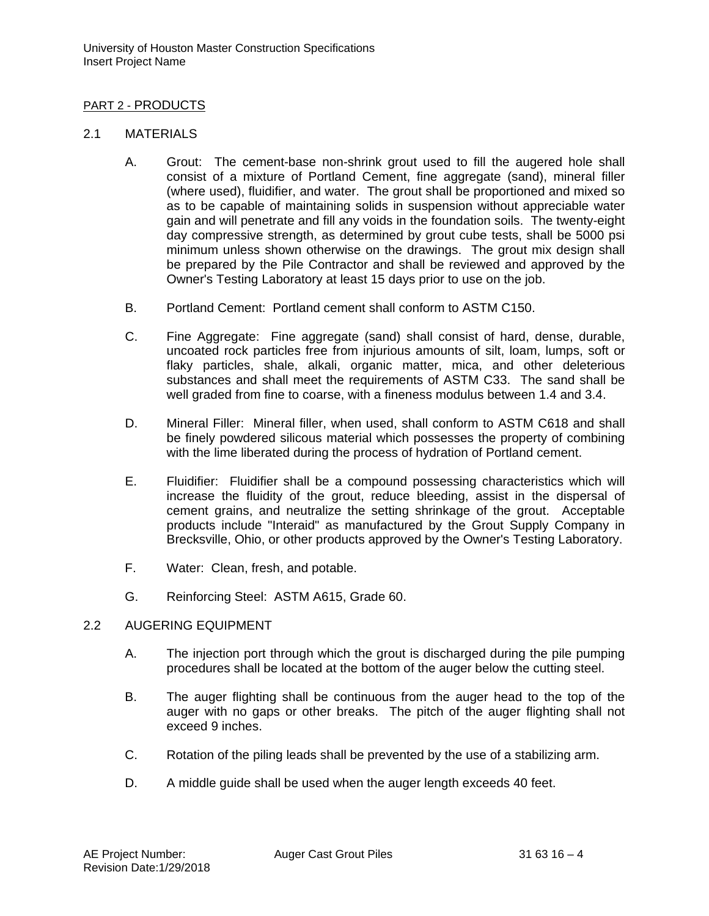## PART 2 - PRODUCTS

## 2.1 MATERIALS

- A. Grout: The cement-base non-shrink grout used to fill the augered hole shall consist of a mixture of Portland Cement, fine aggregate (sand), mineral filler (where used), fluidifier, and water. The grout shall be proportioned and mixed so as to be capable of maintaining solids in suspension without appreciable water gain and will penetrate and fill any voids in the foundation soils. The twenty-eight day compressive strength, as determined by grout cube tests, shall be 5000 psi minimum unless shown otherwise on the drawings. The grout mix design shall be prepared by the Pile Contractor and shall be reviewed and approved by the Owner's Testing Laboratory at least 15 days prior to use on the job.
- B. Portland Cement: Portland cement shall conform to ASTM C150.
- C. Fine Aggregate: Fine aggregate (sand) shall consist of hard, dense, durable, uncoated rock particles free from injurious amounts of silt, loam, lumps, soft or flaky particles, shale, alkali, organic matter, mica, and other deleterious substances and shall meet the requirements of ASTM C33. The sand shall be well graded from fine to coarse, with a fineness modulus between 1.4 and 3.4.
- D. Mineral Filler: Mineral filler, when used, shall conform to ASTM C618 and shall be finely powdered silicous material which possesses the property of combining with the lime liberated during the process of hydration of Portland cement.
- E. Fluidifier: Fluidifier shall be a compound possessing characteristics which will increase the fluidity of the grout, reduce bleeding, assist in the dispersal of cement grains, and neutralize the setting shrinkage of the grout. Acceptable products include "Interaid" as manufactured by the Grout Supply Company in Brecksville, Ohio, or other products approved by the Owner's Testing Laboratory.
- F. Water: Clean, fresh, and potable.
- G. Reinforcing Steel: ASTM A615, Grade 60.

## 2.2 AUGERING EQUIPMENT

- A. The injection port through which the grout is discharged during the pile pumping procedures shall be located at the bottom of the auger below the cutting steel.
- B. The auger flighting shall be continuous from the auger head to the top of the auger with no gaps or other breaks. The pitch of the auger flighting shall not exceed 9 inches.
- C. Rotation of the piling leads shall be prevented by the use of a stabilizing arm.
- D. A middle guide shall be used when the auger length exceeds 40 feet.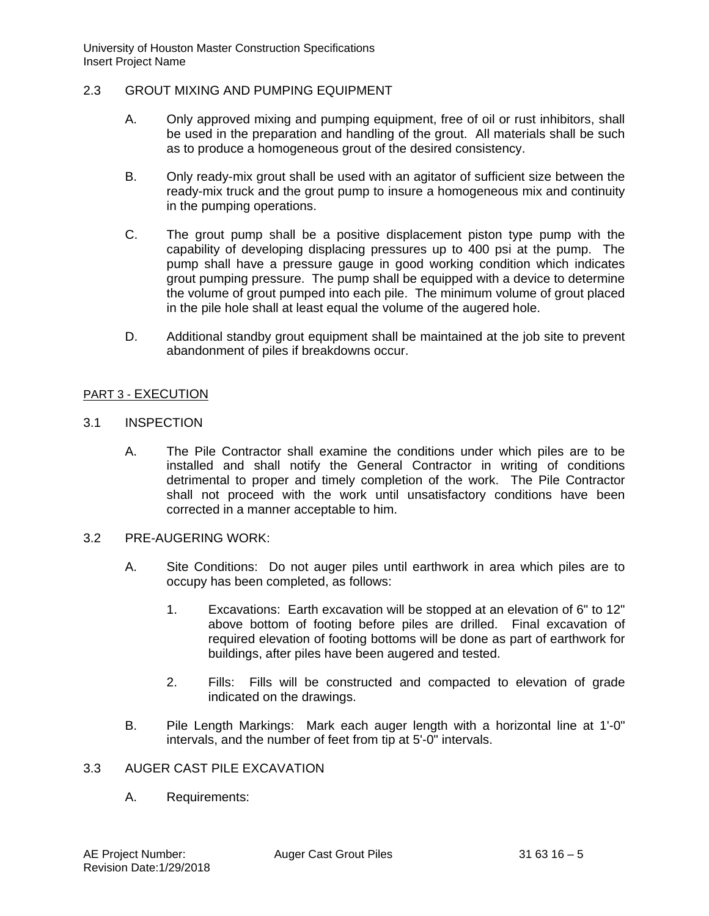### 2.3 GROUT MIXING AND PUMPING EQUIPMENT

- A. Only approved mixing and pumping equipment, free of oil or rust inhibitors, shall be used in the preparation and handling of the grout. All materials shall be such as to produce a homogeneous grout of the desired consistency.
- B. Only ready-mix grout shall be used with an agitator of sufficient size between the ready-mix truck and the grout pump to insure a homogeneous mix and continuity in the pumping operations.
- C. The grout pump shall be a positive displacement piston type pump with the capability of developing displacing pressures up to 400 psi at the pump. The pump shall have a pressure gauge in good working condition which indicates grout pumping pressure. The pump shall be equipped with a device to determine the volume of grout pumped into each pile. The minimum volume of grout placed in the pile hole shall at least equal the volume of the augered hole.
- D. Additional standby grout equipment shall be maintained at the job site to prevent abandonment of piles if breakdowns occur.

### PART 3 - EXECUTION

- 3.1 INSPECTION
	- A. The Pile Contractor shall examine the conditions under which piles are to be installed and shall notify the General Contractor in writing of conditions detrimental to proper and timely completion of the work. The Pile Contractor shall not proceed with the work until unsatisfactory conditions have been corrected in a manner acceptable to him.

#### 3.2 PRE-AUGERING WORK:

- A. Site Conditions: Do not auger piles until earthwork in area which piles are to occupy has been completed, as follows:
	- 1. Excavations: Earth excavation will be stopped at an elevation of 6" to 12" above bottom of footing before piles are drilled. Final excavation of required elevation of footing bottoms will be done as part of earthwork for buildings, after piles have been augered and tested.
	- 2. Fills: Fills will be constructed and compacted to elevation of grade indicated on the drawings.
- B. Pile Length Markings: Mark each auger length with a horizontal line at 1'-0" intervals, and the number of feet from tip at 5'-0" intervals.

### 3.3 AUGER CAST PILE EXCAVATION

A. Requirements: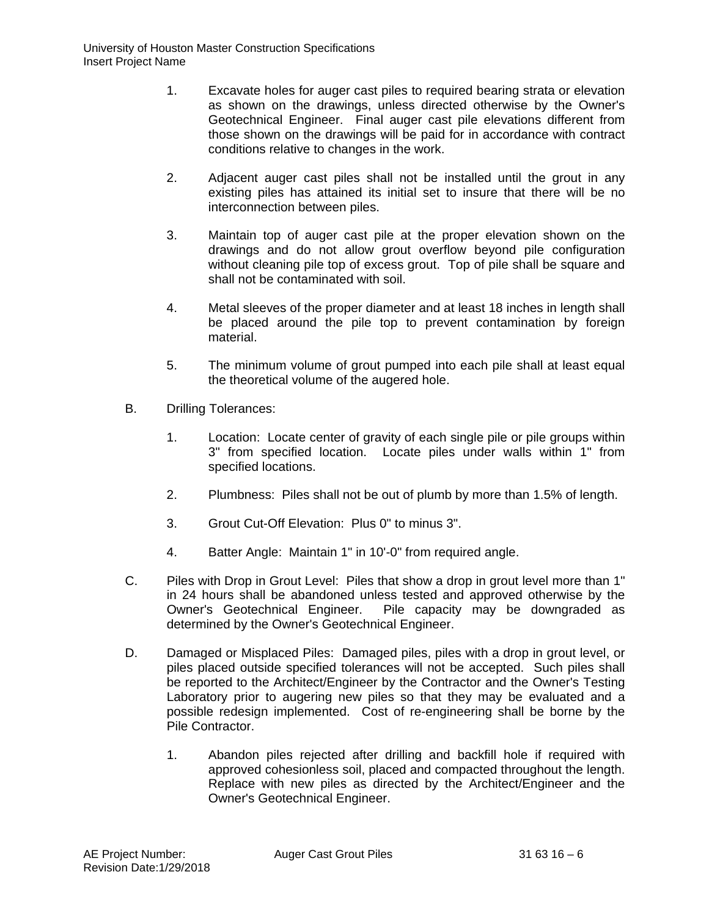- 1. Excavate holes for auger cast piles to required bearing strata or elevation as shown on the drawings, unless directed otherwise by the Owner's Geotechnical Engineer. Final auger cast pile elevations different from those shown on the drawings will be paid for in accordance with contract conditions relative to changes in the work.
- 2. Adjacent auger cast piles shall not be installed until the grout in any existing piles has attained its initial set to insure that there will be no interconnection between piles.
- 3. Maintain top of auger cast pile at the proper elevation shown on the drawings and do not allow grout overflow beyond pile configuration without cleaning pile top of excess grout. Top of pile shall be square and shall not be contaminated with soil.
- 4. Metal sleeves of the proper diameter and at least 18 inches in length shall be placed around the pile top to prevent contamination by foreign material.
- 5. The minimum volume of grout pumped into each pile shall at least equal the theoretical volume of the augered hole.
- B. Drilling Tolerances:
	- 1. Location: Locate center of gravity of each single pile or pile groups within 3" from specified location. Locate piles under walls within 1" from specified locations.
	- 2. Plumbness: Piles shall not be out of plumb by more than 1.5% of length.
	- 3. Grout Cut-Off Elevation: Plus 0" to minus 3".
	- 4. Batter Angle: Maintain 1" in 10'-0" from required angle.
- C. Piles with Drop in Grout Level: Piles that show a drop in grout level more than 1" in 24 hours shall be abandoned unless tested and approved otherwise by the Owner's Geotechnical Engineer. Pile capacity may be downgraded as determined by the Owner's Geotechnical Engineer.
- D. Damaged or Misplaced Piles: Damaged piles, piles with a drop in grout level, or piles placed outside specified tolerances will not be accepted. Such piles shall be reported to the Architect/Engineer by the Contractor and the Owner's Testing Laboratory prior to augering new piles so that they may be evaluated and a possible redesign implemented. Cost of re-engineering shall be borne by the Pile Contractor.
	- 1. Abandon piles rejected after drilling and backfill hole if required with approved cohesionless soil, placed and compacted throughout the length. Replace with new piles as directed by the Architect/Engineer and the Owner's Geotechnical Engineer.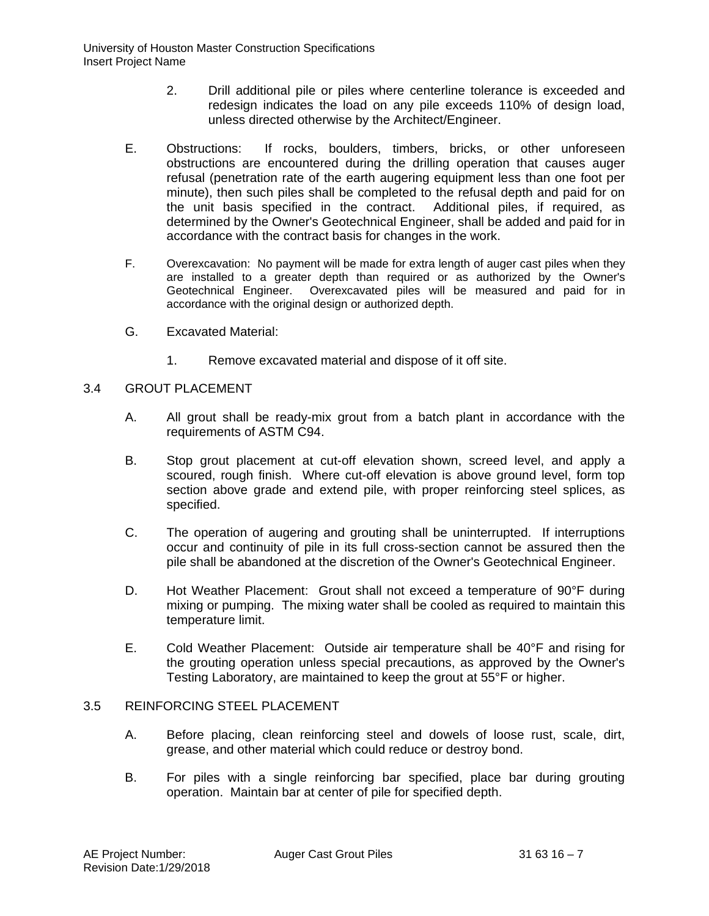- 2. Drill additional pile or piles where centerline tolerance is exceeded and redesign indicates the load on any pile exceeds 110% of design load, unless directed otherwise by the Architect/Engineer.
- E. Obstructions: If rocks, boulders, timbers, bricks, or other unforeseen obstructions are encountered during the drilling operation that causes auger refusal (penetration rate of the earth augering equipment less than one foot per minute), then such piles shall be completed to the refusal depth and paid for on the unit basis specified in the contract. Additional piles, if required, as determined by the Owner's Geotechnical Engineer, shall be added and paid for in accordance with the contract basis for changes in the work.
- F. Overexcavation: No payment will be made for extra length of auger cast piles when they are installed to a greater depth than required or as authorized by the Owner's Geotechnical Engineer. Overexcavated piles will be measured and paid for in accordance with the original design or authorized depth.
- G. Excavated Material:
	- 1. Remove excavated material and dispose of it off site.

# 3.4 GROUT PLACEMENT

- A. All grout shall be ready-mix grout from a batch plant in accordance with the requirements of ASTM C94.
- B. Stop grout placement at cut-off elevation shown, screed level, and apply a scoured, rough finish. Where cut-off elevation is above ground level, form top section above grade and extend pile, with proper reinforcing steel splices, as specified.
- C. The operation of augering and grouting shall be uninterrupted. If interruptions occur and continuity of pile in its full cross-section cannot be assured then the pile shall be abandoned at the discretion of the Owner's Geotechnical Engineer.
- D. Hot Weather Placement: Grout shall not exceed a temperature of 90°F during mixing or pumping. The mixing water shall be cooled as required to maintain this temperature limit.
- E. Cold Weather Placement: Outside air temperature shall be 40°F and rising for the grouting operation unless special precautions, as approved by the Owner's Testing Laboratory, are maintained to keep the grout at 55°F or higher.

## 3.5 REINFORCING STEEL PLACEMENT

- A. Before placing, clean reinforcing steel and dowels of loose rust, scale, dirt, grease, and other material which could reduce or destroy bond.
- B. For piles with a single reinforcing bar specified, place bar during grouting operation. Maintain bar at center of pile for specified depth.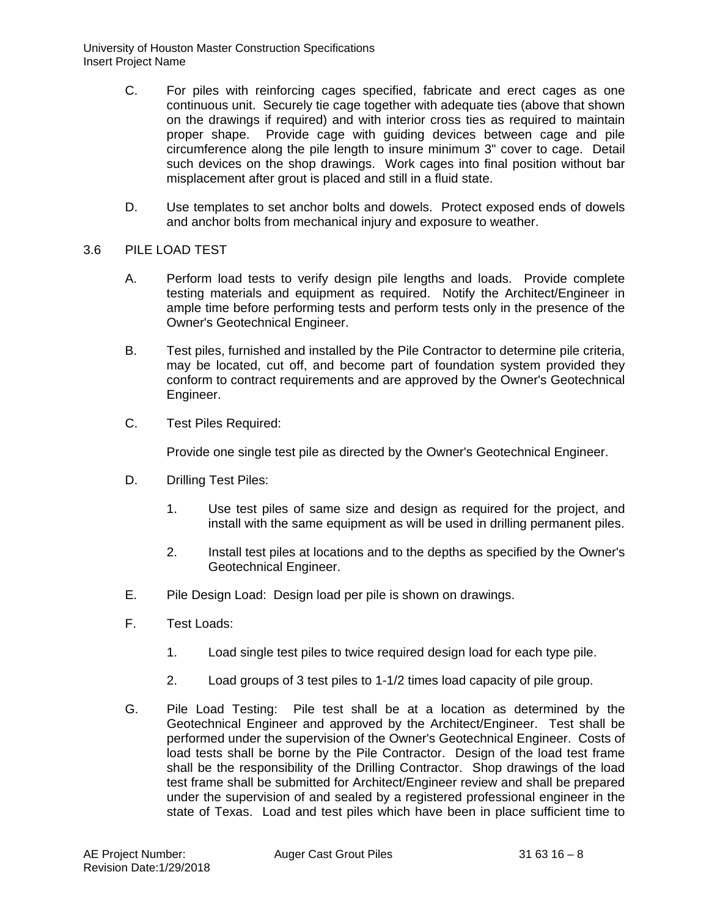- C. For piles with reinforcing cages specified, fabricate and erect cages as one continuous unit. Securely tie cage together with adequate ties (above that shown on the drawings if required) and with interior cross ties as required to maintain proper shape. Provide cage with guiding devices between cage and pile circumference along the pile length to insure minimum 3" cover to cage. Detail such devices on the shop drawings. Work cages into final position without bar misplacement after grout is placed and still in a fluid state.
- D. Use templates to set anchor bolts and dowels. Protect exposed ends of dowels and anchor bolts from mechanical injury and exposure to weather.

### 3.6 PILE LOAD TEST

- A. Perform load tests to verify design pile lengths and loads. Provide complete testing materials and equipment as required. Notify the Architect/Engineer in ample time before performing tests and perform tests only in the presence of the Owner's Geotechnical Engineer.
- B. Test piles, furnished and installed by the Pile Contractor to determine pile criteria, may be located, cut off, and become part of foundation system provided they conform to contract requirements and are approved by the Owner's Geotechnical Engineer.
- C. Test Piles Required:

Provide one single test pile as directed by the Owner's Geotechnical Engineer.

- D. Drilling Test Piles:
	- 1. Use test piles of same size and design as required for the project, and install with the same equipment as will be used in drilling permanent piles.
	- 2. Install test piles at locations and to the depths as specified by the Owner's Geotechnical Engineer.
- E. Pile Design Load: Design load per pile is shown on drawings.
- F. Test Loads:
	- 1. Load single test piles to twice required design load for each type pile.
	- 2. Load groups of 3 test piles to 1-1/2 times load capacity of pile group.
- G. Pile Load Testing: Pile test shall be at a location as determined by the Geotechnical Engineer and approved by the Architect/Engineer. Test shall be performed under the supervision of the Owner's Geotechnical Engineer. Costs of load tests shall be borne by the Pile Contractor. Design of the load test frame shall be the responsibility of the Drilling Contractor. Shop drawings of the load test frame shall be submitted for Architect/Engineer review and shall be prepared under the supervision of and sealed by a registered professional engineer in the state of Texas. Load and test piles which have been in place sufficient time to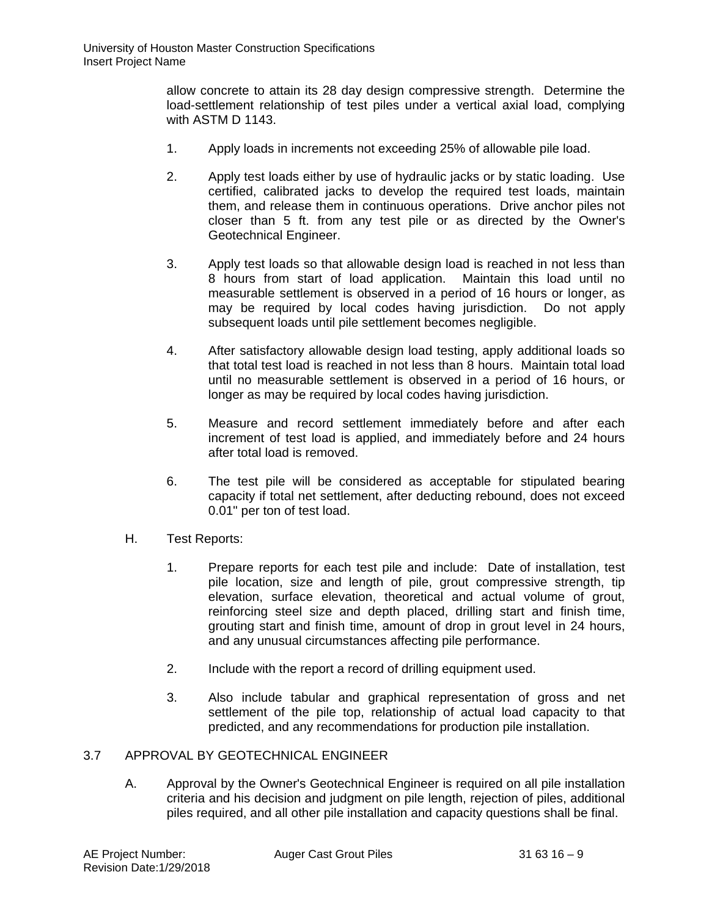allow concrete to attain its 28 day design compressive strength. Determine the load-settlement relationship of test piles under a vertical axial load, complying with ASTM D 1143.

- 1. Apply loads in increments not exceeding 25% of allowable pile load.
- 2. Apply test loads either by use of hydraulic jacks or by static loading. Use certified, calibrated jacks to develop the required test loads, maintain them, and release them in continuous operations. Drive anchor piles not closer than 5 ft. from any test pile or as directed by the Owner's Geotechnical Engineer.
- 3. Apply test loads so that allowable design load is reached in not less than 8 hours from start of load application. Maintain this load until no measurable settlement is observed in a period of 16 hours or longer, as may be required by local codes having jurisdiction. Do not apply subsequent loads until pile settlement becomes negligible.
- 4. After satisfactory allowable design load testing, apply additional loads so that total test load is reached in not less than 8 hours. Maintain total load until no measurable settlement is observed in a period of 16 hours, or longer as may be required by local codes having jurisdiction.
- 5. Measure and record settlement immediately before and after each increment of test load is applied, and immediately before and 24 hours after total load is removed.
- 6. The test pile will be considered as acceptable for stipulated bearing capacity if total net settlement, after deducting rebound, does not exceed 0.01" per ton of test load.
- H. Test Reports:
	- 1. Prepare reports for each test pile and include: Date of installation, test pile location, size and length of pile, grout compressive strength, tip elevation, surface elevation, theoretical and actual volume of grout, reinforcing steel size and depth placed, drilling start and finish time, grouting start and finish time, amount of drop in grout level in 24 hours, and any unusual circumstances affecting pile performance.
	- 2. Include with the report a record of drilling equipment used.
	- 3. Also include tabular and graphical representation of gross and net settlement of the pile top, relationship of actual load capacity to that predicted, and any recommendations for production pile installation.

## 3.7 APPROVAL BY GEOTECHNICAL ENGINEER

A. Approval by the Owner's Geotechnical Engineer is required on all pile installation criteria and his decision and judgment on pile length, rejection of piles, additional piles required, and all other pile installation and capacity questions shall be final.